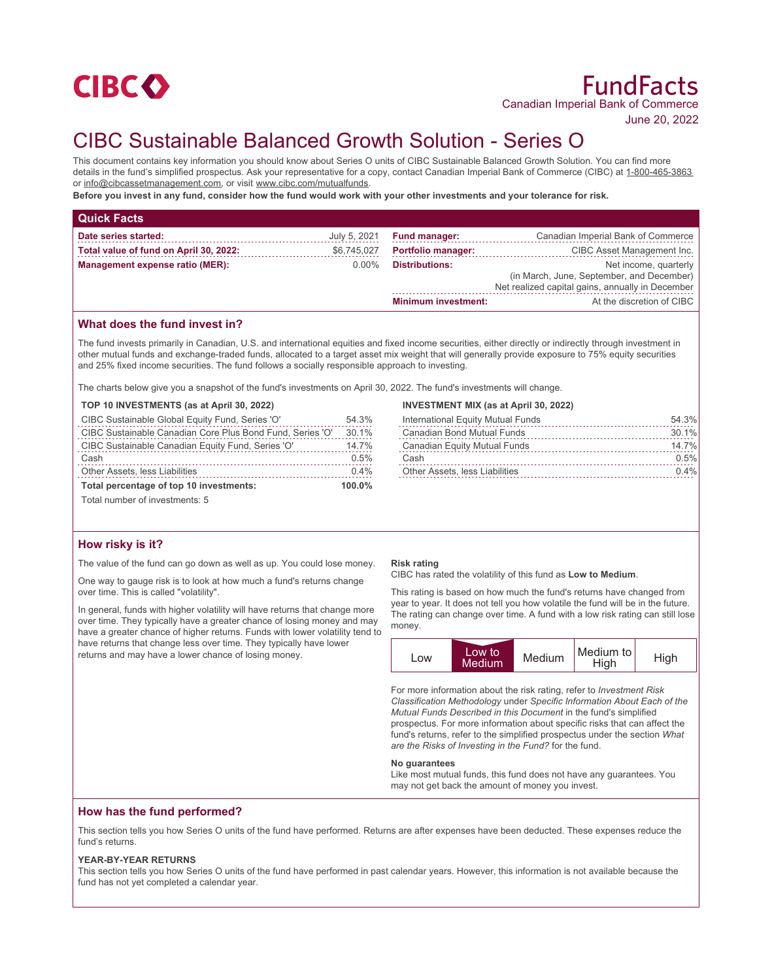

# FundFacts Canadian Imperial Bank of Commerce

June 20, 2022

# CIBC Sustainable Balanced Growth Solution - Series O

This document contains key information you should know about Series O units of CIBC Sustainable Balanced Growth Solution. You can find more details in the fund's simplified prospectus. Ask your representative for a copy, contact Canadian Imperial Bank of Commerce (CIBC) at 1-800-465-3863 or info@cibcassetmanagement.com, or visit www.cibc.com/mutualfunds.

**Before you invest in any fund, consider how the fund would work with your other investments and your tolerance for risk.**

| <b>Quick Facts</b>                     |              |                                                                                                                                                 |                                    |
|----------------------------------------|--------------|-------------------------------------------------------------------------------------------------------------------------------------------------|------------------------------------|
| Date series started:                   | July 5, 2021 | <b>Fund manager:</b>                                                                                                                            | Canadian Imperial Bank of Commerce |
| Total value of fund on April 30, 2022: | \$6,745,027  | <b>Portfolio manager:</b>                                                                                                                       | CIBC Asset Management Inc.         |
| Management expense ratio (MER):        | $0.00\%$     | <b>Distributions:</b><br>Net income, quarterly<br>(in March, June, September, and December)<br>Net realized capital gains, annually in December |                                    |
|                                        |              | <b>Minimum investment:</b>                                                                                                                      | At the discretion of CIBC          |

# **What does the fund invest in?**

The fund invests primarily in Canadian, U.S. and international equities and fixed income securities, either directly or indirectly through investment in other mutual funds and exchange-traded funds, allocated to a target asset mix weight that will generally provide exposure to 75% equity securities and 25% fixed income securities. The fund follows a socially responsible approach to investing.

The charts below give you a snapshot of the fund's investments on April 30, 2022. The fund's investments will change.

|  | TOP 10 INVESTMENTS (as at April 30, 2022) |  |  |  |
|--|-------------------------------------------|--|--|--|
|--|-------------------------------------------|--|--|--|

| CIBC Sustainable Global Equity Fund, Series 'O'           | 54.3%     |
|-----------------------------------------------------------|-----------|
| CIBC Sustainable Canadian Core Plus Bond Fund, Series 'O' | 30.1%     |
| CIBC Sustainable Canadian Equity Fund, Series 'O'         | 14.7%     |
| Cash                                                      | 0.5%      |
| Other Assets, less Liabilities                            | 0.4%      |
| Total percentage of top 10 investments:                   | $100.0\%$ |

Total number of investments: 5

### **How risky is it?**

The value of the fund can go down as well as up. You could lose money.

One way to gauge risk is to look at how much a fund's returns change over time. This is called "volatility".

In general, funds with higher volatility will have returns that change more over time. They typically have a greater chance of losing money and may have a greater chance of higher returns. Funds with lower volatility tend to have returns that change less over time. They typically have lower returns and may have a lower chance of losing money.

#### **INVESTMENT MIX (as at April 30, 2022)**

| International Equity Mutual Funds | 54.3%   |
|-----------------------------------|---------|
| Canadian Bond Mutual Funds        | 30.1%   |
| Canadian Equity Mutual Funds      | 14.7%   |
| Cash                              | 0.5%    |
| Other Assets, less Liabilities    | $0.4\%$ |

#### **Risk rating**

CIBC has rated the volatility of this fund as **Low to Medium**.

This rating is based on how much the fund's returns have changed from year to year. It does not tell you how volatile the fund will be in the future. The rating can change over time. A fund with a low risk rating can still lose money.

| LOW | Low to<br><b>Medium</b> | Medium | Medium to<br>High | High |
|-----|-------------------------|--------|-------------------|------|
|-----|-------------------------|--------|-------------------|------|

For more information about the risk rating, refer to *Investment Risk Classification Methodology* under *Specific Information About Each of the Mutual Funds Described in this Document* in the fund's simplified prospectus. For more information about specific risks that can affect the fund's returns, refer to the simplified prospectus under the section *What are the Risks of Investing in the Fund?* for the fund.

#### **No guarantees**

Like most mutual funds, this fund does not have any guarantees. You may not get back the amount of money you invest.

#### **How has the fund performed?**

This section tells you how Series O units of the fund have performed. Returns are after expenses have been deducted. These expenses reduce the fund's returns.

#### **YEAR-BY-YEAR RETURNS**

This section tells you how Series O units of the fund have performed in past calendar years. However, this information is not available because the fund has not yet completed a calendar year.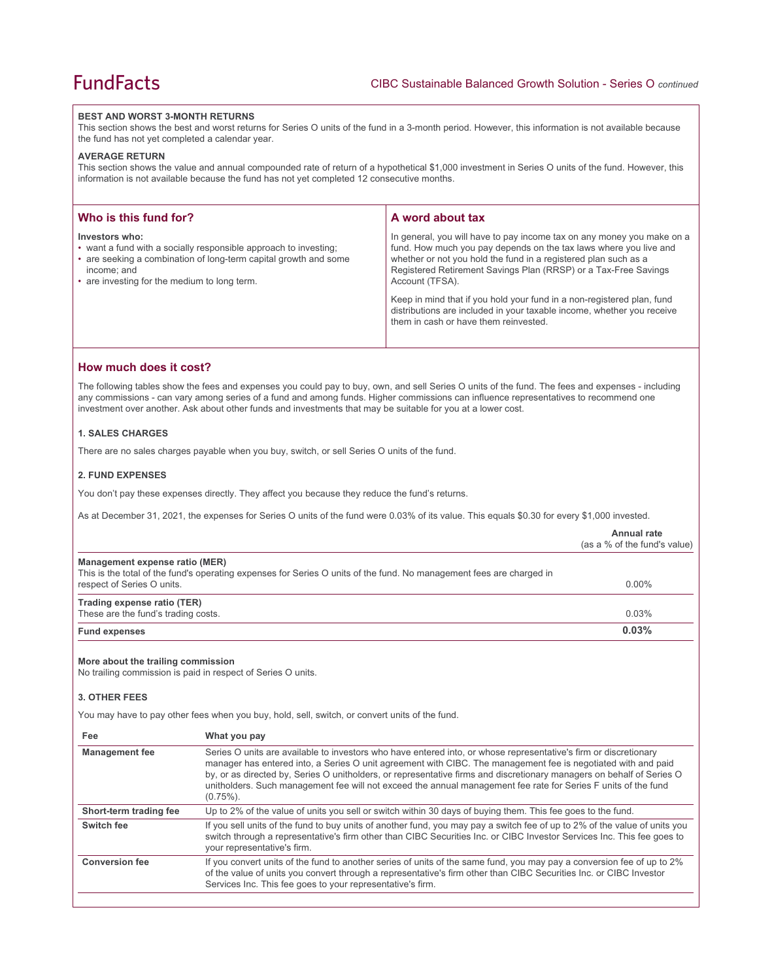#### **BEST AND WORST 3-MONTH RETURNS**

This section shows the best and worst returns for Series O units of the fund in a 3-month period. However, this information is not available because the fund has not yet completed a calendar year.

#### **AVERAGE RETURN**

This section shows the value and annual compounded rate of return of a hypothetical \$1,000 investment in Series O units of the fund. However, this information is not available because the fund has not yet completed 12 consecutive months.

| Who is this fund for?                                                                                                                                                                                                 | A word about tax                                                                                                                                                                                                                                                                                     |  |
|-----------------------------------------------------------------------------------------------------------------------------------------------------------------------------------------------------------------------|------------------------------------------------------------------------------------------------------------------------------------------------------------------------------------------------------------------------------------------------------------------------------------------------------|--|
| Investors who:<br>• want a fund with a socially responsible approach to investing;<br>• are seeking a combination of long-term capital growth and some<br>income; and<br>• are investing for the medium to long term. | In general, you will have to pay income tax on any money you make on a<br>fund. How much you pay depends on the tax laws where you live and<br>whether or not you hold the fund in a registered plan such as a<br>Registered Retirement Savings Plan (RRSP) or a Tax-Free Savings<br>Account (TFSA). |  |
|                                                                                                                                                                                                                       | Keep in mind that if you hold your fund in a non-registered plan, fund<br>distributions are included in your taxable income, whether you receive<br>them in cash or have them reinvested.                                                                                                            |  |

## **How much does it cost?**

The following tables show the fees and expenses you could pay to buy, own, and sell Series O units of the fund. The fees and expenses - including any commissions - can vary among series of a fund and among funds. Higher commissions can influence representatives to recommend one investment over another. Ask about other funds and investments that may be suitable for you at a lower cost.

## **1. SALES CHARGES**

There are no sales charges payable when you buy, switch, or sell Series O units of the fund.

#### **2. FUND EXPENSES**

You don't pay these expenses directly. They affect you because they reduce the fund's returns.

As at December 31, 2021, the expenses for Series O units of the fund were 0.03% of its value. This equals \$0.30 for every \$1,000 invested.

|                                                                    |                                                                                                                                                                                                                                                                                                                                                                                                                                                                                              | Annual rate<br>(as a % of the fund's value) |
|--------------------------------------------------------------------|----------------------------------------------------------------------------------------------------------------------------------------------------------------------------------------------------------------------------------------------------------------------------------------------------------------------------------------------------------------------------------------------------------------------------------------------------------------------------------------------|---------------------------------------------|
| Management expense ratio (MER)<br>respect of Series O units.       | This is the total of the fund's operating expenses for Series O units of the fund. No management fees are charged in                                                                                                                                                                                                                                                                                                                                                                         | $0.00\%$                                    |
| Trading expense ratio (TER)<br>These are the fund's trading costs. |                                                                                                                                                                                                                                                                                                                                                                                                                                                                                              | 0.03%                                       |
| <b>Fund expenses</b>                                               |                                                                                                                                                                                                                                                                                                                                                                                                                                                                                              | 0.03%                                       |
| More about the trailing commission<br><b>3. OTHER FEES</b>         | No trailing commission is paid in respect of Series O units.<br>You may have to pay other fees when you buy, hold, sell, switch, or convert units of the fund.                                                                                                                                                                                                                                                                                                                               |                                             |
| Fee                                                                | What you pay                                                                                                                                                                                                                                                                                                                                                                                                                                                                                 |                                             |
| <b>Management fee</b>                                              | Series O units are available to investors who have entered into, or whose representative's firm or discretionary<br>manager has entered into, a Series O unit agreement with CIBC. The management fee is negotiated with and paid<br>by, or as directed by, Series O unitholders, or representative firms and discretionary managers on behalf of Series O<br>unitholders. Such management fee will not exceed the annual management fee rate for Series F units of the fund<br>$(0.75\%)$ . |                                             |
| Short-term trading fee                                             | Up to 2% of the value of units you sell or switch within 30 days of buying them. This fee goes to the fund.                                                                                                                                                                                                                                                                                                                                                                                  |                                             |
| Switch fee                                                         | If you sell units of the fund to buy units of another fund, you may pay a switch fee of up to 2% of the value of units you                                                                                                                                                                                                                                                                                                                                                                   |                                             |

switch through a representative's firm other than CIBC Securities Inc. or CIBC Investor Services Inc. This fee goes to your representative's firm. Conversion fee **If you convert units of the fund to another series of units of the same fund, you may pay a conversion fee of up to 2%** of the value of units you convert through a representative's firm other than CIBC Securities Inc. or CIBC Investor

Services Inc. This fee goes to your representative's firm.